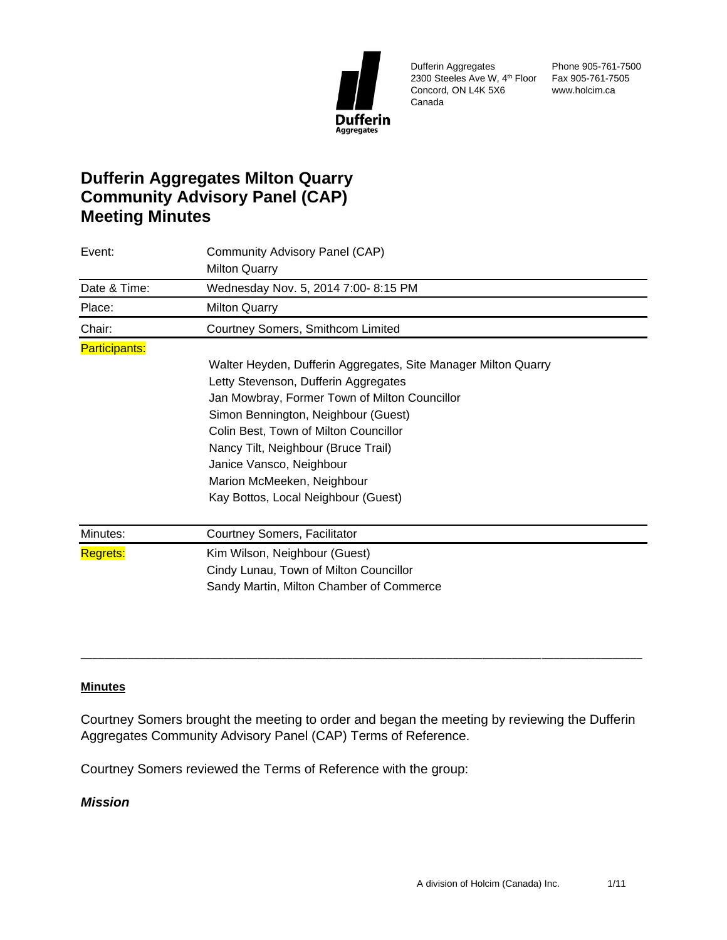

Dufferin Aggregates 2300 Steeles Ave W, 4th Floor Fax 905-761-7505 Concord, ON L4K 5X6 Canada

Phone 905-761-7500 www.holcim.ca

# **Dufferin Aggregates Milton Quarry Community Advisory Panel (CAP) Meeting Minutes**

| Event:<br>Date & Time: | Community Advisory Panel (CAP)                                 |  |
|------------------------|----------------------------------------------------------------|--|
|                        | <b>Milton Quarry</b><br>Wednesday Nov. 5, 2014 7:00-8:15 PM    |  |
|                        |                                                                |  |
| Place:                 | <b>Milton Quarry</b>                                           |  |
| Chair:                 | Courtney Somers, Smithcom Limited                              |  |
| <b>Participants:</b>   |                                                                |  |
|                        | Walter Heyden, Dufferin Aggregates, Site Manager Milton Quarry |  |
|                        | Letty Stevenson, Dufferin Aggregates                           |  |
|                        | Jan Mowbray, Former Town of Milton Councillor                  |  |
|                        | Simon Bennington, Neighbour (Guest)                            |  |
|                        | Colin Best, Town of Milton Councillor                          |  |
|                        | Nancy Tilt, Neighbour (Bruce Trail)                            |  |
|                        | Janice Vansco, Neighbour                                       |  |
|                        | Marion McMeeken, Neighbour                                     |  |
|                        | Kay Bottos, Local Neighbour (Guest)                            |  |
| Minutes:               | Courtney Somers, Facilitator                                   |  |
| <b>Regrets:</b>        | Kim Wilson, Neighbour (Guest)                                  |  |
|                        | Cindy Lunau, Town of Milton Councillor                         |  |
|                        | Sandy Martin, Milton Chamber of Commerce                       |  |
|                        |                                                                |  |

### **Minutes**

Courtney Somers brought the meeting to order and began the meeting by reviewing the Dufferin Aggregates Community Advisory Panel (CAP) Terms of Reference.

\_\_\_\_\_\_\_\_\_\_\_\_\_\_\_\_\_\_\_\_\_\_\_\_\_\_\_\_\_\_\_\_\_\_\_\_\_\_\_\_\_\_\_\_\_\_\_\_\_\_\_\_\_\_\_\_\_\_\_\_\_\_\_\_\_\_\_\_\_\_\_\_\_\_\_\_\_\_\_\_\_\_\_\_\_\_\_\_\_\_\_\_\_\_\_

Courtney Somers reviewed the Terms of Reference with the group:

# *Mission*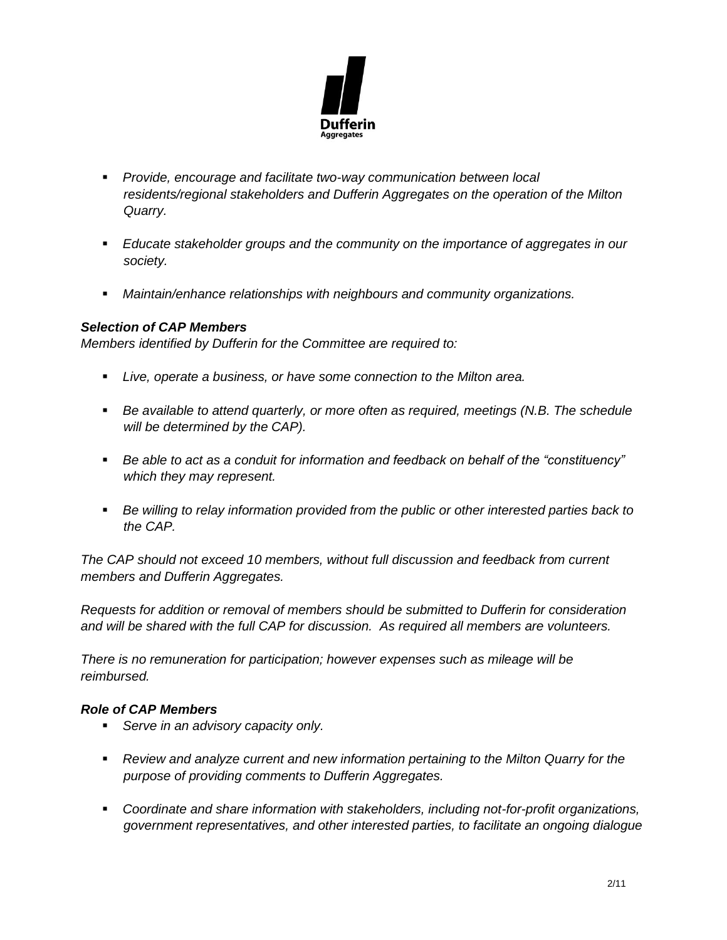

- *Provide, encourage and facilitate two-way communication between local residents/regional stakeholders and Dufferin Aggregates on the operation of the Milton Quarry.*
- *Educate stakeholder groups and the community on the importance of aggregates in our society.*
- *Maintain/enhance relationships with neighbours and community organizations.*

# *Selection of CAP Members*

*Members identified by Dufferin for the Committee are required to:* 

- *Live, operate a business, or have some connection to the Milton area.*
- *Be available to attend quarterly, or more often as required, meetings (N.B. The schedule will be determined by the CAP).*
- *Be able to act as a conduit for information and feedback on behalf of the "constituency" which they may represent.*
- Be willing to relay information provided from the public or other interested parties back to *the CAP.*

*The CAP should not exceed 10 members, without full discussion and feedback from current members and Dufferin Aggregates.* 

*Requests for addition or removal of members should be submitted to Dufferin for consideration and will be shared with the full CAP for discussion. As required all members are volunteers.* 

*There is no remuneration for participation; however expenses such as mileage will be reimbursed.* 

# *Role of CAP Members*

- *Serve in an advisory capacity only.*
- *Review and analyze current and new information pertaining to the Milton Quarry for the purpose of providing comments to Dufferin Aggregates.*
- *Coordinate and share information with stakeholders, including not-for-profit organizations, government representatives, and other interested parties, to facilitate an ongoing dialogue*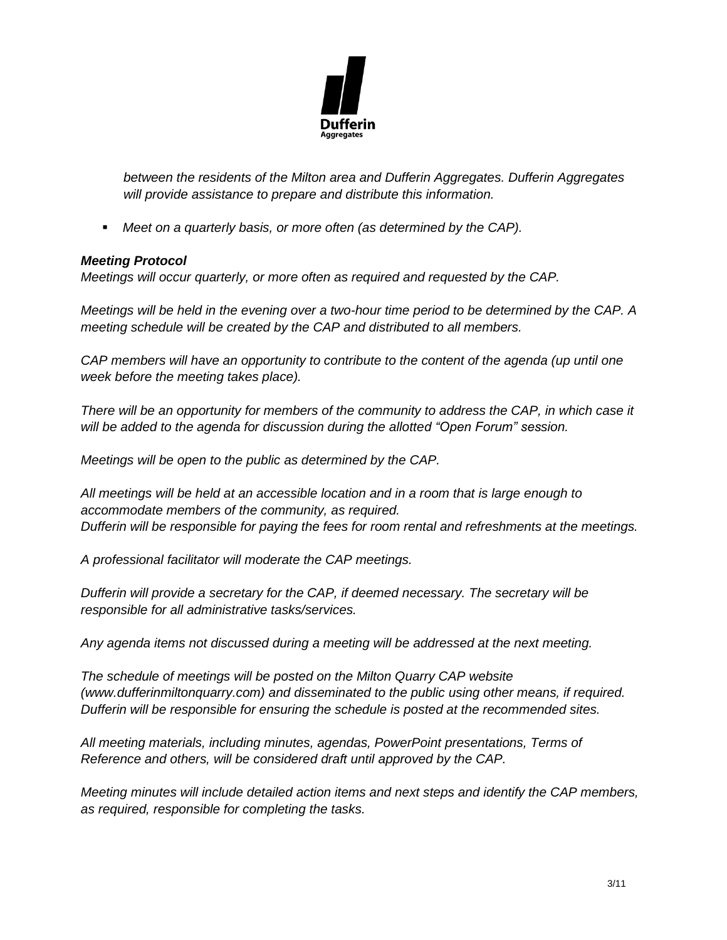

*between the residents of the Milton area and Dufferin Aggregates. Dufferin Aggregates will provide assistance to prepare and distribute this information.* 

▪ *Meet on a quarterly basis, or more often (as determined by the CAP).* 

### *Meeting Protocol*

*Meetings will occur quarterly, or more often as required and requested by the CAP.* 

*Meetings will be held in the evening over a two-hour time period to be determined by the CAP. A meeting schedule will be created by the CAP and distributed to all members.* 

*CAP members will have an opportunity to contribute to the content of the agenda (up until one week before the meeting takes place).* 

*There will be an opportunity for members of the community to address the CAP, in which case it will be added to the agenda for discussion during the allotted "Open Forum" session.* 

*Meetings will be open to the public as determined by the CAP.* 

*All meetings will be held at an accessible location and in a room that is large enough to accommodate members of the community, as required. Dufferin will be responsible for paying the fees for room rental and refreshments at the meetings.* 

*A professional facilitator will moderate the CAP meetings.* 

*Dufferin will provide a secretary for the CAP, if deemed necessary. The secretary will be responsible for all administrative tasks/services.* 

*Any agenda items not discussed during a meeting will be addressed at the next meeting.* 

*The schedule of meetings will be posted on the Milton Quarry CAP website (www.dufferinmiltonquarry.com) and disseminated to the public using other means, if required. Dufferin will be responsible for ensuring the schedule is posted at the recommended sites.* 

*All meeting materials, including minutes, agendas, PowerPoint presentations, Terms of Reference and others, will be considered draft until approved by the CAP.* 

*Meeting minutes will include detailed action items and next steps and identify the CAP members, as required, responsible for completing the tasks.*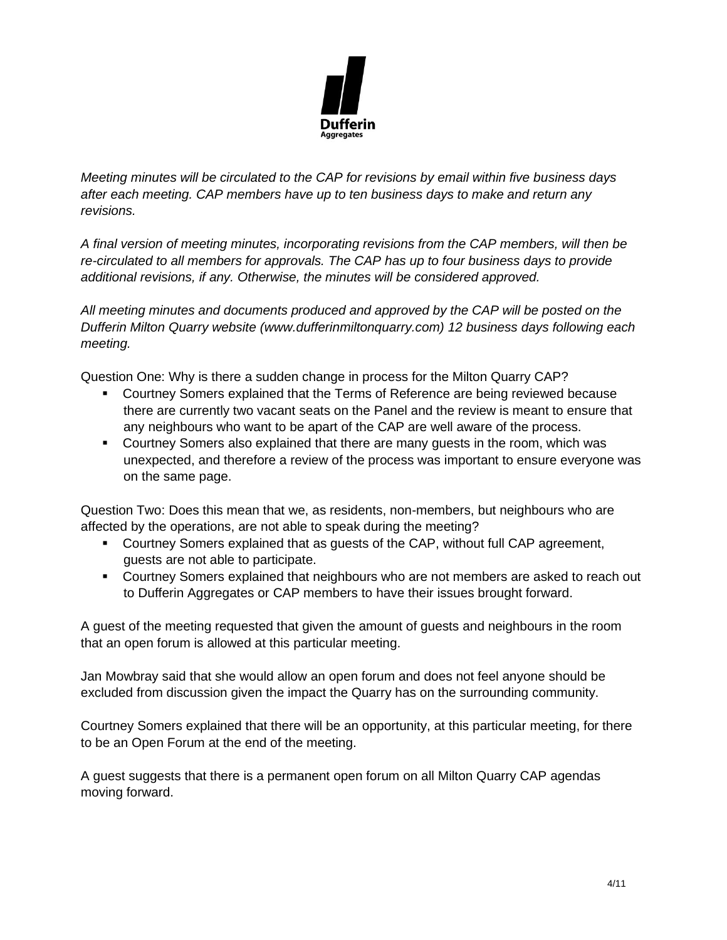

*Meeting minutes will be circulated to the CAP for revisions by email within five business days after each meeting. CAP members have up to ten business days to make and return any revisions.* 

*A final version of meeting minutes, incorporating revisions from the CAP members, will then be re-circulated to all members for approvals. The CAP has up to four business days to provide additional revisions, if any. Otherwise, the minutes will be considered approved.* 

*All meeting minutes and documents produced and approved by the CAP will be posted on the Dufferin Milton Quarry website (www.dufferinmiltonquarry.com) 12 business days following each meeting.* 

Question One: Why is there a sudden change in process for the Milton Quarry CAP?

- Courtney Somers explained that the Terms of Reference are being reviewed because there are currently two vacant seats on the Panel and the review is meant to ensure that any neighbours who want to be apart of the CAP are well aware of the process.
- Courtney Somers also explained that there are many guests in the room, which was unexpected, and therefore a review of the process was important to ensure everyone was on the same page.

Question Two: Does this mean that we, as residents, non-members, but neighbours who are affected by the operations, are not able to speak during the meeting?

- Courtney Somers explained that as guests of the CAP, without full CAP agreement, guests are not able to participate.
- Courtney Somers explained that neighbours who are not members are asked to reach out to Dufferin Aggregates or CAP members to have their issues brought forward.

A guest of the meeting requested that given the amount of guests and neighbours in the room that an open forum is allowed at this particular meeting.

Jan Mowbray said that she would allow an open forum and does not feel anyone should be excluded from discussion given the impact the Quarry has on the surrounding community.

Courtney Somers explained that there will be an opportunity, at this particular meeting, for there to be an Open Forum at the end of the meeting.

A guest suggests that there is a permanent open forum on all Milton Quarry CAP agendas moving forward.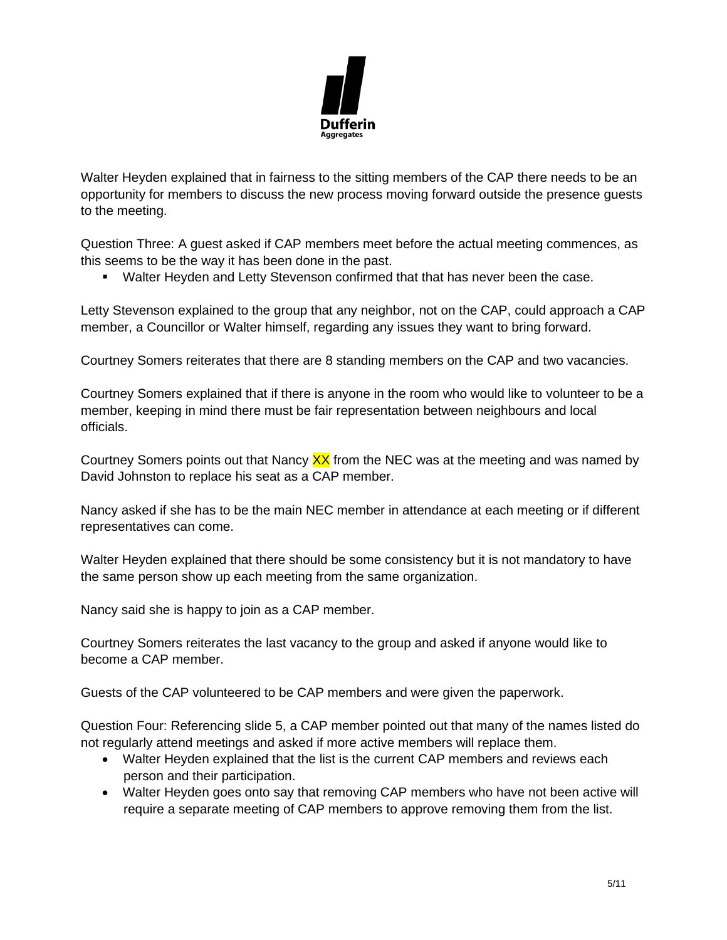

Walter Heyden explained that in fairness to the sitting members of the CAP there needs to be an opportunity for members to discuss the new process moving forward outside the presence guests to the meeting.

Question Three: A guest asked if CAP members meet before the actual meeting commences, as this seems to be the way it has been done in the past.

▪ Walter Heyden and Letty Stevenson confirmed that that has never been the case.

Letty Stevenson explained to the group that any neighbor, not on the CAP, could approach a CAP member, a Councillor or Walter himself, regarding any issues they want to bring forward.

Courtney Somers reiterates that there are 8 standing members on the CAP and two vacancies.

Courtney Somers explained that if there is anyone in the room who would like to volunteer to be a member, keeping in mind there must be fair representation between neighbours and local officials.

Courtney Somers points out that Nancy  $\frac{XX}{X}$  from the NEC was at the meeting and was named by David Johnston to replace his seat as a CAP member.

Nancy asked if she has to be the main NEC member in attendance at each meeting or if different representatives can come.

Walter Heyden explained that there should be some consistency but it is not mandatory to have the same person show up each meeting from the same organization.

Nancy said she is happy to join as a CAP member.

Courtney Somers reiterates the last vacancy to the group and asked if anyone would like to become a CAP member.

Guests of the CAP volunteered to be CAP members and were given the paperwork.

Question Four: Referencing slide 5, a CAP member pointed out that many of the names listed do not regularly attend meetings and asked if more active members will replace them.

- Walter Heyden explained that the list is the current CAP members and reviews each person and their participation.
- Walter Heyden goes onto say that removing CAP members who have not been active will require a separate meeting of CAP members to approve removing them from the list.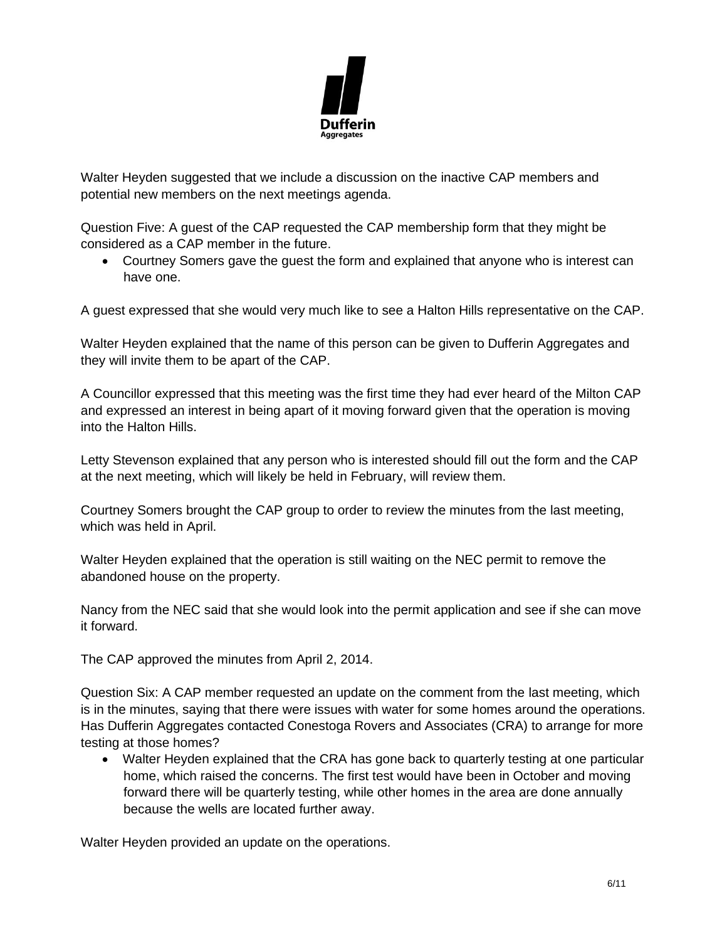

Walter Heyden suggested that we include a discussion on the inactive CAP members and potential new members on the next meetings agenda.

Question Five: A guest of the CAP requested the CAP membership form that they might be considered as a CAP member in the future.

• Courtney Somers gave the guest the form and explained that anyone who is interest can have one.

A guest expressed that she would very much like to see a Halton Hills representative on the CAP.

Walter Heyden explained that the name of this person can be given to Dufferin Aggregates and they will invite them to be apart of the CAP.

A Councillor expressed that this meeting was the first time they had ever heard of the Milton CAP and expressed an interest in being apart of it moving forward given that the operation is moving into the Halton Hills.

Letty Stevenson explained that any person who is interested should fill out the form and the CAP at the next meeting, which will likely be held in February, will review them.

Courtney Somers brought the CAP group to order to review the minutes from the last meeting, which was held in April.

Walter Heyden explained that the operation is still waiting on the NEC permit to remove the abandoned house on the property.

Nancy from the NEC said that she would look into the permit application and see if she can move it forward.

The CAP approved the minutes from April 2, 2014.

Question Six: A CAP member requested an update on the comment from the last meeting, which is in the minutes, saying that there were issues with water for some homes around the operations. Has Dufferin Aggregates contacted Conestoga Rovers and Associates (CRA) to arrange for more testing at those homes?

• Walter Heyden explained that the CRA has gone back to quarterly testing at one particular home, which raised the concerns. The first test would have been in October and moving forward there will be quarterly testing, while other homes in the area are done annually because the wells are located further away.

Walter Heyden provided an update on the operations.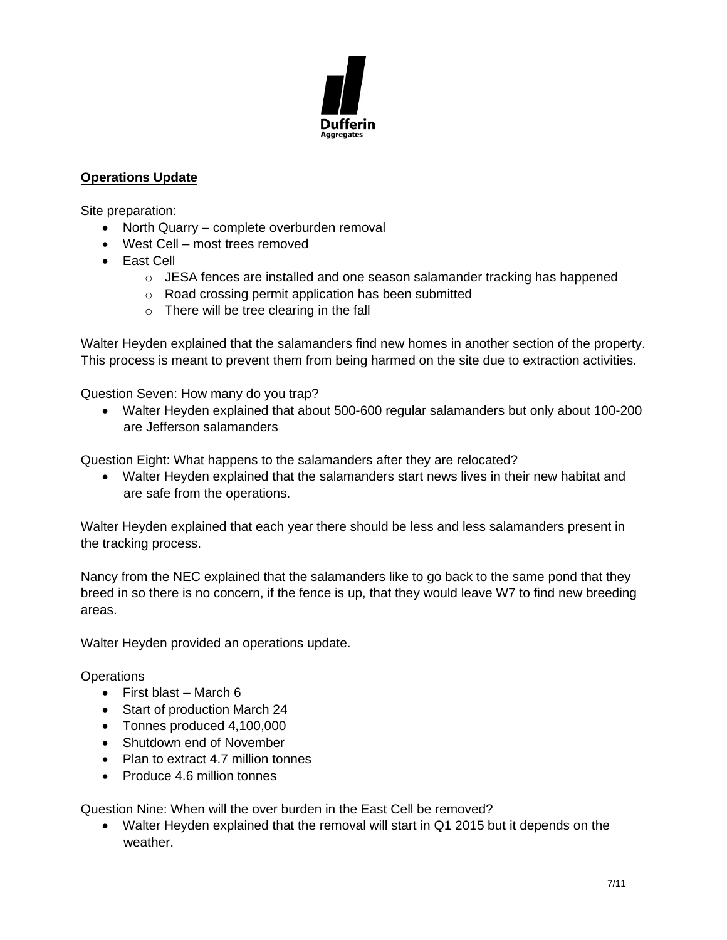

# **Operations Update**

Site preparation:

- North Quarry complete overburden removal
- West Cell most trees removed
- East Cell
	- $\circ$  JESA fences are installed and one season salamander tracking has happened
	- o Road crossing permit application has been submitted
	- $\circ$  There will be tree clearing in the fall

Walter Heyden explained that the salamanders find new homes in another section of the property. This process is meant to prevent them from being harmed on the site due to extraction activities.

Question Seven: How many do you trap?

• Walter Heyden explained that about 500-600 regular salamanders but only about 100-200 are Jefferson salamanders

Question Eight: What happens to the salamanders after they are relocated?

• Walter Heyden explained that the salamanders start news lives in their new habitat and are safe from the operations.

Walter Heyden explained that each year there should be less and less salamanders present in the tracking process.

Nancy from the NEC explained that the salamanders like to go back to the same pond that they breed in so there is no concern, if the fence is up, that they would leave W7 to find new breeding areas.

Walter Heyden provided an operations update.

### **Operations**

- First blast March 6
- Start of production March 24
- Tonnes produced 4,100,000
- Shutdown end of November
- Plan to extract 4.7 million tonnes
- Produce 4.6 million tonnes

Question Nine: When will the over burden in the East Cell be removed?

• Walter Heyden explained that the removal will start in Q1 2015 but it depends on the weather.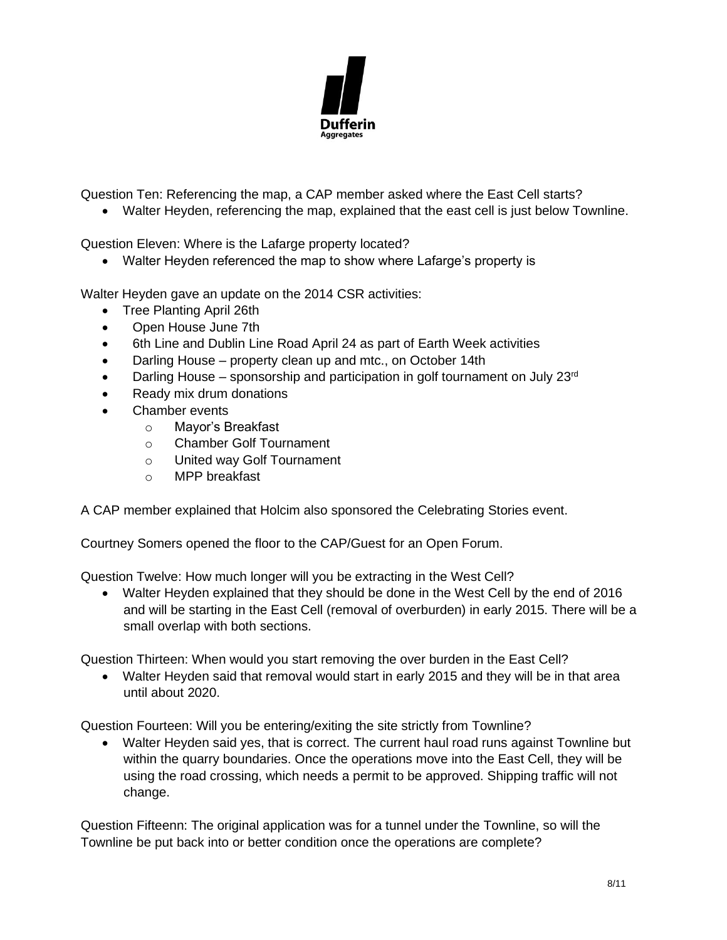

Question Ten: Referencing the map, a CAP member asked where the East Cell starts?

• Walter Heyden, referencing the map, explained that the east cell is just below Townline.

Question Eleven: Where is the Lafarge property located?

• Walter Heyden referenced the map to show where Lafarge's property is

Walter Heyden gave an update on the 2014 CSR activities:

- Tree Planting April 26th
- Open House June 7th
- 6th Line and Dublin Line Road April 24 as part of Earth Week activities
- Darling House property clean up and mtc., on October 14th
- Darling House sponsorship and participation in golf tournament on July  $23<sup>rd</sup>$
- Ready mix drum donations
- Chamber events
	- o Mayor's Breakfast
	- o Chamber Golf Tournament
	- o United way Golf Tournament
	- o MPP breakfast

A CAP member explained that Holcim also sponsored the Celebrating Stories event.

Courtney Somers opened the floor to the CAP/Guest for an Open Forum.

Question Twelve: How much longer will you be extracting in the West Cell?

• Walter Heyden explained that they should be done in the West Cell by the end of 2016 and will be starting in the East Cell (removal of overburden) in early 2015. There will be a small overlap with both sections.

Question Thirteen: When would you start removing the over burden in the East Cell?

• Walter Heyden said that removal would start in early 2015 and they will be in that area until about 2020.

Question Fourteen: Will you be entering/exiting the site strictly from Townline?

• Walter Heyden said yes, that is correct. The current haul road runs against Townline but within the quarry boundaries. Once the operations move into the East Cell, they will be using the road crossing, which needs a permit to be approved. Shipping traffic will not change.

Question Fifteenn: The original application was for a tunnel under the Townline, so will the Townline be put back into or better condition once the operations are complete?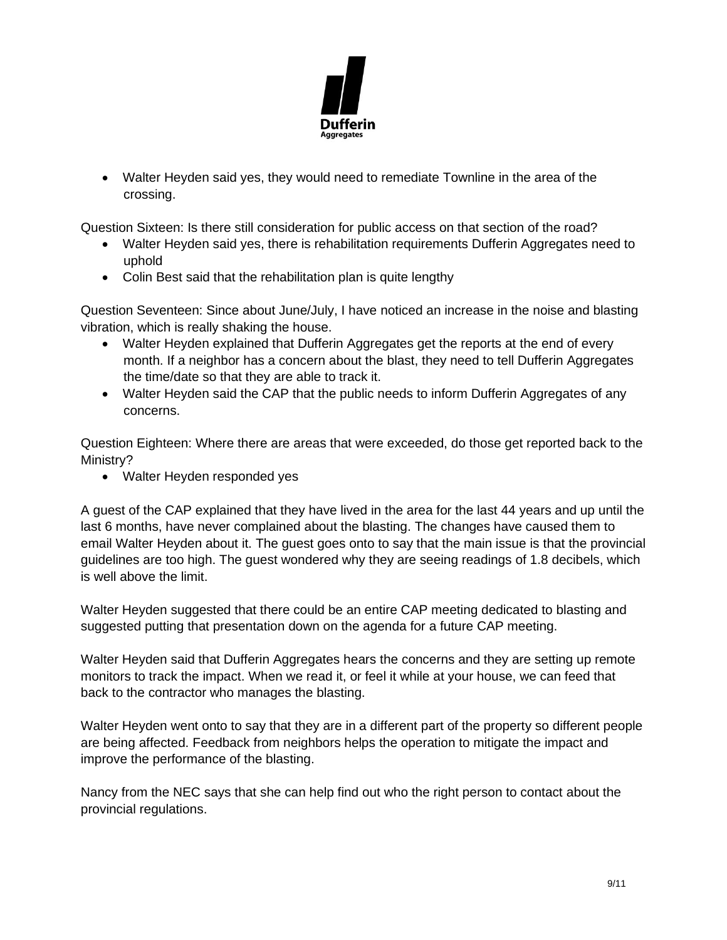

• Walter Heyden said yes, they would need to remediate Townline in the area of the crossing.

Question Sixteen: Is there still consideration for public access on that section of the road?

- Walter Heyden said yes, there is rehabilitation requirements Dufferin Aggregates need to uphold
- Colin Best said that the rehabilitation plan is quite lengthy

Question Seventeen: Since about June/July, I have noticed an increase in the noise and blasting vibration, which is really shaking the house.

- Walter Heyden explained that Dufferin Aggregates get the reports at the end of every month. If a neighbor has a concern about the blast, they need to tell Dufferin Aggregates the time/date so that they are able to track it.
- Walter Heyden said the CAP that the public needs to inform Dufferin Aggregates of any concerns.

Question Eighteen: Where there are areas that were exceeded, do those get reported back to the Ministry?

• Walter Heyden responded yes

A guest of the CAP explained that they have lived in the area for the last 44 years and up until the last 6 months, have never complained about the blasting. The changes have caused them to email Walter Heyden about it. The guest goes onto to say that the main issue is that the provincial guidelines are too high. The guest wondered why they are seeing readings of 1.8 decibels, which is well above the limit.

Walter Heyden suggested that there could be an entire CAP meeting dedicated to blasting and suggested putting that presentation down on the agenda for a future CAP meeting.

Walter Heyden said that Dufferin Aggregates hears the concerns and they are setting up remote monitors to track the impact. When we read it, or feel it while at your house, we can feed that back to the contractor who manages the blasting.

Walter Heyden went onto to say that they are in a different part of the property so different people are being affected. Feedback from neighbors helps the operation to mitigate the impact and improve the performance of the blasting.

Nancy from the NEC says that she can help find out who the right person to contact about the provincial regulations.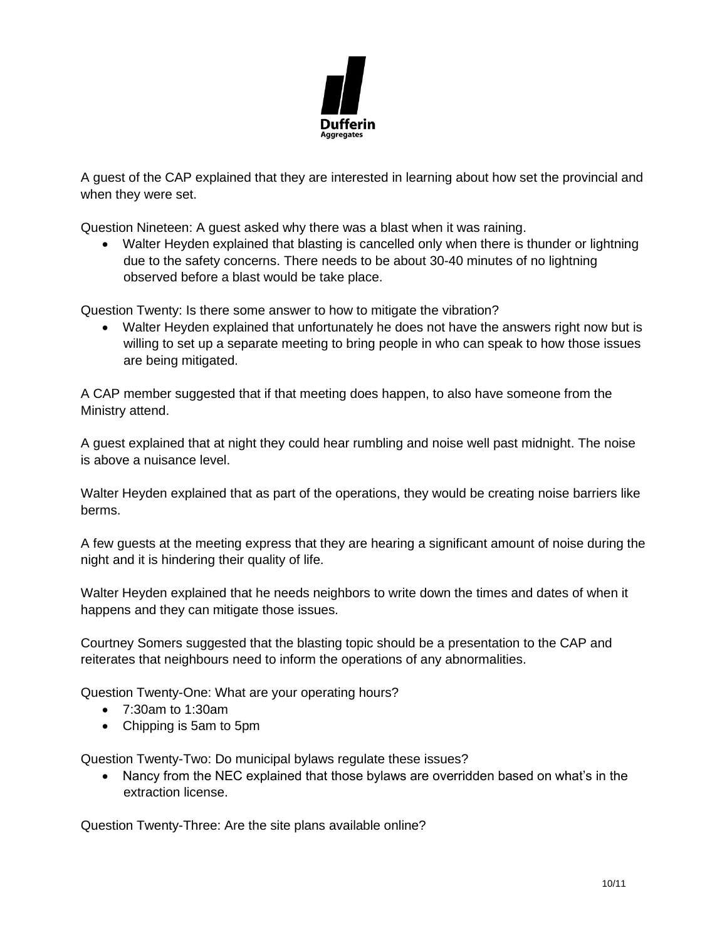

A guest of the CAP explained that they are interested in learning about how set the provincial and when they were set.

Question Nineteen: A guest asked why there was a blast when it was raining.

• Walter Heyden explained that blasting is cancelled only when there is thunder or lightning due to the safety concerns. There needs to be about 30-40 minutes of no lightning observed before a blast would be take place.

Question Twenty: Is there some answer to how to mitigate the vibration?

• Walter Heyden explained that unfortunately he does not have the answers right now but is willing to set up a separate meeting to bring people in who can speak to how those issues are being mitigated.

A CAP member suggested that if that meeting does happen, to also have someone from the Ministry attend.

A guest explained that at night they could hear rumbling and noise well past midnight. The noise is above a nuisance level.

Walter Heyden explained that as part of the operations, they would be creating noise barriers like berms.

A few guests at the meeting express that they are hearing a significant amount of noise during the night and it is hindering their quality of life.

Walter Heyden explained that he needs neighbors to write down the times and dates of when it happens and they can mitigate those issues.

Courtney Somers suggested that the blasting topic should be a presentation to the CAP and reiterates that neighbours need to inform the operations of any abnormalities.

Question Twenty-One: What are your operating hours?

- 7:30am to 1:30am
- Chipping is 5am to 5pm

Question Twenty-Two: Do municipal bylaws regulate these issues?

• Nancy from the NEC explained that those bylaws are overridden based on what's in the extraction license.

Question Twenty-Three: Are the site plans available online?